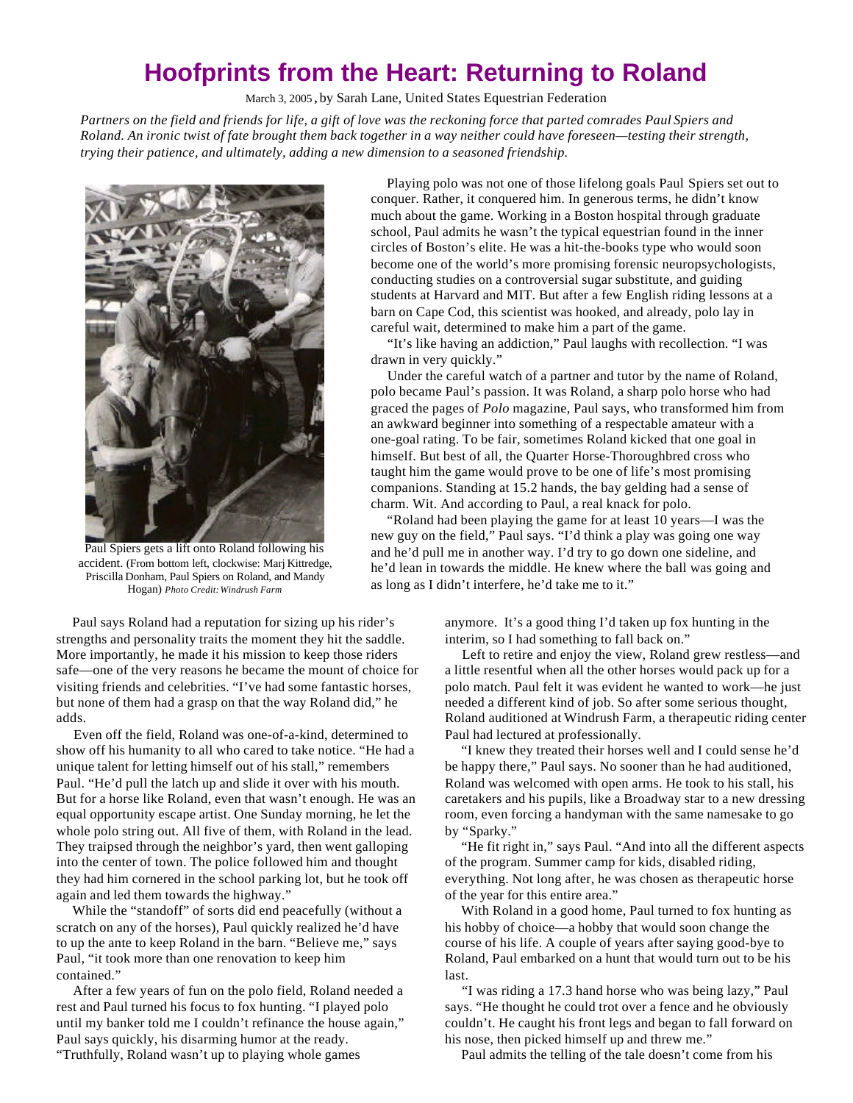## **Hoofprints from the Heart: Returning to Roland**

March 3, 2005 **,** by Sarah Lane, United States Equestrian Federation

*Partners on the field and friends for life, a gift of love was the reckoning force that parted comrades Paul Spiers and Roland. An ironic twist of fate brought them back together in a way neither could have foreseen—testing their strength, trying their patience, and ultimately, adding a new dimension to a seasoned friendship.*



Paul Spiers gets a lift onto Roland following his accident. (From bottom left, clockwise: Marj Kittredge, Priscilla Donham, Paul Spiers on Roland, and Mandy Hogan) *Photo Credit: Windrush Farm*

adds.

contained."

 Paul says Roland had a reputation for sizing up his rider's strengths and personality traits the moment they hit the saddle. More importantly, he made it his mission to keep those riders safe—one of the very reasons he became the mount of choice for visiting friends and celebrities. "I've had some fantastic horses, but none of them had a grasp on that the way Roland did," he

 Even off the field, Roland was one-of-a-kind, determined to show off his humanity to all who cared to take notice. "He had a unique talent for letting himself out of his stall," remembers Paul. "He'd pull the latch up and slide it over with his mouth. But for a horse like Roland, even that wasn't enough. He was an equal opportunity escape artist. One Sunday morning, he let the whole polo string out. All five of them, with Roland in the lead. They traipsed through the neighbor's yard, then went galloping into the center of town. The police followed him and thought they had him cornered in the school parking lot, but he took off

 While the "standoff" of sorts did end peacefully (without a scratch on any of the horses), Paul quickly realized he'd have to up the ante to keep Roland in the barn. "Believe me," says

 After a few years of fun on the polo field, Roland needed a rest and Paul turned his focus to fox hunting. "I played polo until my banker told me I couldn't refinance the house again,"

 Playing polo was not one of those lifelong goals Paul Spiers set out to conquer. Rather, it conquered him. In generous terms, he didn't know much about the game. Working in a Boston hospital through graduate school, Paul admits he wasn't the typical equestrian found in the inner circles of Boston's elite. He was a hit-the-books type who would soon become one of the world's more promising forensic neuropsychologists, conducting studies on a controversial sugar substitute, and guiding students at Harvard and MIT. But after a few English riding lessons at a barn on Cape Cod, this scientist was hooked, and already, polo lay in careful wait, determined to make him a part of the game.

 "It's like having an addiction," Paul laughs with recollection. "I was drawn in very quickly."

 Under the careful watch of a partner and tutor by the name of Roland, polo became Paul's passion. It was Roland, a sharp polo horse who had graced the pages of *Polo* magazine, Paul says, who transformed him from an awkward beginner into something of a respectable amateur with a one-goal rating. To be fair, sometimes Roland kicked that one goal in himself. But best of all, the Quarter Horse-Thoroughbred cross who taught him the game would prove to be one of life's most promising companions. Standing at 15.2 hands, the bay gelding had a sense of charm. Wit. And according to Paul, a real knack for polo.

 "Roland had been playing the game for at least 10 years—I was the new guy on the field," Paul says. "I'd think a play was going one way and he'd pull me in another way. I'd try to go down one sideline, and he'd lean in towards the middle. He knew where the ball was going and as long as I didn't interfere, he'd take me to it."

> anymore. It's a good thing I'd taken up fox hunting in the interim, so I had something to fall back on."

 Left to retire and enjoy the view, Roland grew restless—and a little resentful when all the other horses would pack up for a polo match. Paul felt it was evident he wanted to work—he just needed a different kind of job. So after some serious thought, Roland auditioned at Windrush Farm, a therapeutic riding center Paul had lectured at professionally.

 "I knew they treated their horses well and I could sense he'd be happy there," Paul says. No sooner than he had auditioned, Roland was welcomed with open arms. He took to his stall, his caretakers and his pupils, like a Broadway star to a new dressing room, even forcing a handyman with the same namesake to go by "Sparky."

 "He fit right in," says Paul. "And into all the different aspects of the program. Summer camp for kids, disabled riding, everything. Not long after, he was chosen as therapeutic horse of the year for this entire area."

 With Roland in a good home, Paul turned to fox hunting as his hobby of choice—a hobby that would soon change the course of his life. A couple of years after saying good-bye to Roland, Paul embarked on a hunt that would turn out to be his last.

 "I was riding a 17.3 hand horse who was being lazy," Paul says. "He thought he could trot over a fence and he obviously couldn't. He caught his front legs and began to fall forward on his nose, then picked himself up and threw me."

Paul says quickly, his disarming humor at the ready. "Truthfully, Roland wasn't up to playing whole games

Paul, "it took more than one renovation to keep him

again and led them towards the highway."

Paul admits the telling of the tale doesn't come from his